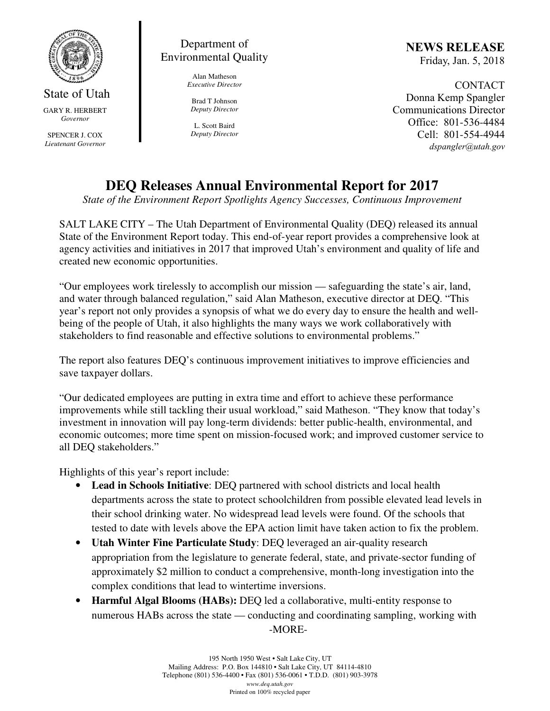

State of Utah GARY R. HERBERT *Governor* 

SPENCER J. COX *Lieutenant Governor* 

## Department of Environmental Quality

Alan Matheson *Executive Director* 

Brad T Johnson *Deputy Director* 

L. Scott Baird *Deputy Director* NEWS RELEASE Friday, Jan. 5, 2018

CONTACT Donna Kemp Spangler Communications Director Office: 801-536-4484 Cell: 801-554-4944 dspangler@utah.gov

## **DEQ Releases Annual Environmental Report for 2017**

*State of the Environment Report Spotlights Agency Successes, Continuous Improvement* 

SALT LAKE CITY – The Utah Department of Environmental Quality (DEQ) released its annual State of the Environment Report today. This end-of-year report provides a comprehensive look at agency activities and initiatives in 2017 that improved Utah's environment and quality of life and created new economic opportunities.

"Our employees work tirelessly to accomplish our mission — safeguarding the state's air, land, and water through balanced regulation," said Alan Matheson, executive director at DEQ. "This year's report not only provides a synopsis of what we do every day to ensure the health and wellbeing of the people of Utah, it also highlights the many ways we work collaboratively with stakeholders to find reasonable and effective solutions to environmental problems."

The report also features DEQ's continuous improvement initiatives to improve efficiencies and save taxpayer dollars.

"Our dedicated employees are putting in extra time and effort to achieve these performance improvements while still tackling their usual workload," said Matheson. "They know that today's investment in innovation will pay long-term dividends: better public-health, environmental, and economic outcomes; more time spent on mission-focused work; and improved customer service to all DEQ stakeholders."

Highlights of this year's report include:

- **Lead in Schools Initiative**: DEQ partnered with school districts and local health departments across the state to protect schoolchildren from possible elevated lead levels in their school drinking water. No widespread lead levels were found. Of the schools that tested to date with levels above the EPA action limit have taken action to fix the problem.
- **Utah Winter Fine Particulate Study**: DEQ leveraged an air-quality research appropriation from the legislature to generate federal, state, and private-sector funding of approximately \$2 million to conduct a comprehensive, month-long investigation into the complex conditions that lead to wintertime inversions.
- **Harmful Algal Blooms (HABs):** DEQ led a collaborative, multi-entity response to numerous HABs across the state — conducting and coordinating sampling, working with -MORE-